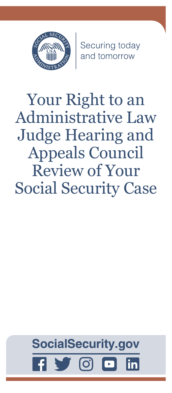

Securing today<br>and tomorrow

Your Right to an Administrative Law Judge Hearing and Appeals Council Review of Your Social Security Case

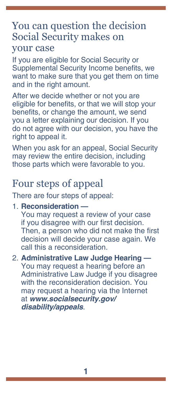### You can question the decision Social Security makes on your case

If you are eligible for Social Security or Supplemental Security Income benefits, we want to make sure that you get them on time and in the right amount.

After we decide whether or not you are eligible for benefits, or that we will stop your benefits, or change the amount, we send you a letter explaining our decision. If you do not agree with our decision, you have the right to appeal it.

When you ask for an appeal, Social Security may review the entire decision, including those parts which were favorable to you.

# Four steps of appeal

There are four steps of appeal:

1. **Reconsideration —**

You may request a review of your case if you disagree with our first decision. Then, a person who did not make the first decision will decide your case again. We call this a reconsideration.

#### 2. **Administrative Law Judge Hearing —**

You may request a hearing before an Administrative Law Judge if you disagree with the reconsideration decision. You may request a hearing via the Internet at *[www.socialsecurity.gov/](https://www.socialsecurity.gov/disability/appeals) [disability/appeals](https://www.socialsecurity.gov/disability/appeals)*.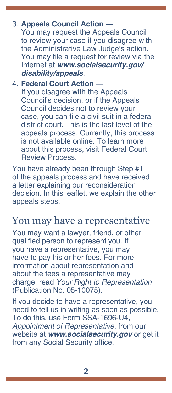### 3. **Appeals Council Action —**

You may request the Appeals Council to review your case if you disagree with the Administrative Law Judge's action. You may file a request for review via the Internet at *[www.socialsecurity.gov/](https://www.socialsecurity.gov/disability/appeals) [disability/appeals](https://www.socialsecurity.gov/disability/appeals)*.

#### 4. **Federal Court Action —** If you disagree with the Appeals Council's decision, or if the Appeals

Council decides not to review your case, you can file a civil suit in a federal district court. This is the last level of the appeals process. Currently, this process is not available online. To learn more about this process, visit Federal Court Review Process.

You have already been through Step #1 of the appeals process and have received a letter explaining our reconsideration decision. In this leaflet, we explain the other appeals steps.

### You may have a representative

You may want a lawyer, friend, or other qualified person to represent you. If you have a representative, you may have to pay his or her fees. For more information about representation and about the fees a representative may charge, read *[Your Right to Representation](https://www.ssa.gov/pubs/EN-05-10075.pdf)* [\(Publication No. 05-10075\)](https://www.ssa.gov/pubs/EN-05-10075.pdf).

If you decide to have a representative, you need to tell us in writing as soon as possible. To do this, use [Form SSA-1696-U4,](https://www.ssa.gov/forms/ssa-1696.html)  *[Appointment of Representative](https://www.ssa.gov/forms/ssa-1696.html)*, from our website at *[www.socialsecurity.gov](https://www.ssa.gov)* or get it from any Social Security office.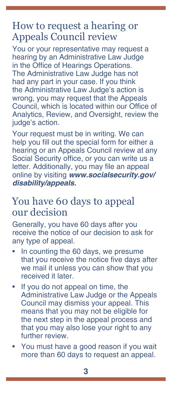# How to request a hearing or Appeals Council review

You or your representative may request a hearing by an Administrative Law Judge in the Office of Hearings Operations. The Administrative Law Judge has not had any part in your case. If you think the Administrative Law Judge's action is wrong, you may request that the Appeals Council, which is located within our Office of Analytics, Review, and Oversight, review the judge's action.

Your request must be in writing. We can help you fill out the special form for either a hearing or an Appeals Council review at any Social Security office, or you can write us a letter. Additionally, you may file an appeal online by visiting *[www.socialsecurity.gov/](https://www.socialsecurity.gov/disability/appeals) [disability/appeals.](https://www.socialsecurity.gov/disability/appeals)*

# You have 60 days to appeal our decision

Generally, you have 60 days after you receive the notice of our decision to ask for any type of appeal.

- In counting the 60 days, we presume that you receive the notice five days after we mail it unless you can show that you received it later.
- If you do not appeal on time, the Administrative Law Judge or the Appeals Council may dismiss your appeal. This means that you may not be eligible for the next step in the appeal process and that you may also lose your right to any further review.
- You must have a good reason if you wait more than 60 days to request an appeal.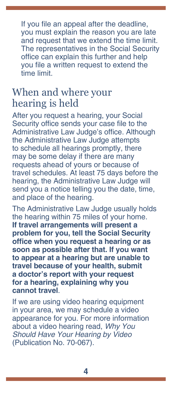If you file an appeal after the deadline, you must explain the reason you are late and request that we extend the time limit. The representatives in the Social Security office can explain this further and help you file a written request to extend the time limit.

## When and where your hearing is held

After you request a hearing, your Social Security office sends your case file to the Administrative Law Judge's office. Although the Administrative Law Judge attempts to schedule all hearings promptly, there may be some delay if there are many requests ahead of yours or because of travel schedules. At least 75 days before the hearing, the Administrative Law Judge will send you a notice telling you the date, time, and place of the hearing.

The Administrative Law Judge usually holds the hearing within 75 miles of your home. **If travel arrangements will present a problem for you, tell the Social Security office when you request a hearing or as soon as possible after that. If you want to appear at a hearing but are unable to travel because of your health, submit a doctor's report with your request for a hearing, explaining why you cannot travel**.

If we are using video hearing equipment in your area, we may schedule a video appearance for you. For more information about a video hearing read, *[Why You](https://www.ssa.gov/appeals/pubs/70-067.pdf)  [Should Have Your Hearing by Video](https://www.ssa.gov/appeals/pubs/70-067.pdf)* [\(Publication No. 70-067\)](https://www.ssa.gov/appeals/pubs/70-067.pdf).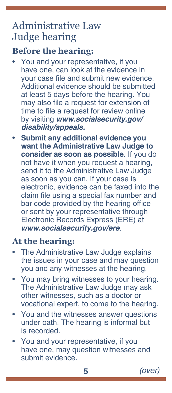# Administrative Law Judge hearing

### **Before the hearing:**

- You and your representative, if you have one, can look at the evidence in your case file and submit new evidence. Additional evidence should be submitted at least 5 days before the hearing. You may also file a request for extension of time to file a request for review online by visiting *[www.socialsecurity.gov/](https://www.socialsecurity.gov/disability/appeals) [disability/appeals.](https://www.socialsecurity.gov/disability/appeals)*
- **Submit any additional evidence you want the Administrative Law Judge to consider as soon as possible**. If you do not have it when you request a hearing, send it to the Administrative Law Judge as soon as you can. If your case is electronic, evidence can be faxed into the claim file using a special fax number and bar code provided by the hearing office or sent by your representative through Electronic Records Express (ERE) at *[www.socialsecurity.gov/ere](https://www.ssa.gov/ere/)*.

### **At the hearing:**

- The Administrative Law Judge explains the issues in your case and may question you and any witnesses at the hearing.
- You may bring witnesses to your hearing. The Administrative Law Judge may ask other witnesses, such as a doctor or vocational expert, to come to the hearing.
- You and the witnesses answer questions under oath. The hearing is informal but is recorded.
- You and your representative, if you have one, may question witnesses and submit evidence.

**5** *(over)*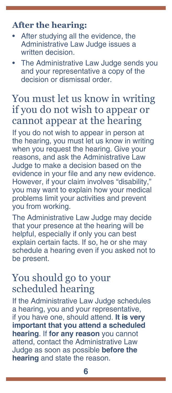### **After the hearing:**

- After studying all the evidence, the Administrative Law Judge issues a written decision.
- The Administrative Law Judge sends you and your representative a copy of the decision or dismissal order.

# You must let us know in writing if you do not wish to appear or cannot appear at the hearing

If you do not wish to appear in person at the hearing, you must let us know in writing when you request the hearing. Give your reasons, and ask the Administrative Law Judge to make a decision based on the evidence in your file and any new evidence. However, if your claim involves "disability," you may want to explain how your medical problems limit your activities and prevent you from working.

The Administrative Law Judge may decide that your presence at the hearing will be helpful, especially if only you can best explain certain facts. If so, he or she may schedule a hearing even if you asked not to be present.

## You should go to your scheduled hearing

If the Administrative Law Judge schedules a hearing, you and your representative, if you have one, should attend. **It is very important that you attend a scheduled hearing**. If **for any reason** you cannot attend, contact the Administrative Law Judge as soon as possible **before the hearing** and state the reason.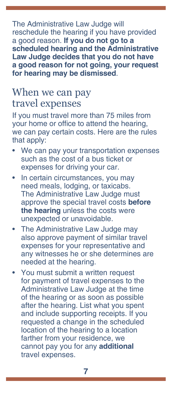The Administrative Law Judge will reschedule the hearing if you have provided a good reason. **If you do not go to a scheduled hearing and the Administrative Law Judge decides that you do not have a good reason for not going, your request for hearing may be dismissed**.

# When we can pay travel expenses

If you must travel more than 75 miles from your home or office to attend the hearing, we can pay certain costs. Here are the rules that apply:

- We can pay your transportation expenses such as the cost of a bus ticket or expenses for driving your car.
- In certain circumstances, you may need meals, lodging, or taxicabs. The Administrative Law Judge must approve the special travel costs **before the hearing** unless the costs were unexpected or unavoidable.
- The Administrative Law Judge may also approve payment of similar travel expenses for your representative and any witnesses he or she determines are needed at the hearing.
- You must submit a written request for payment of travel expenses to the Administrative Law Judge at the time of the hearing or as soon as possible after the hearing. List what you spent and include supporting receipts. If you requested a change in the scheduled location of the hearing to a location farther from your residence, we cannot pay you for any **additional** travel expenses.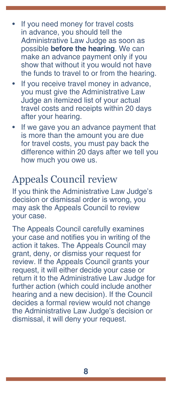- If you need money for travel costs in advance, you should tell the Administrative Law Judge as soon as possible **before the hearing**. We can make an advance payment only if you show that without it you would not have the funds to travel to or from the hearing.
- If you receive travel money in advance, you must give the Administrative Law Judge an itemized list of your actual travel costs and receipts within 20 days after your hearing.
- If we gave you an advance payment that is more than the amount you are due for travel costs, you must pay back the difference within 20 days after we tell you how much you owe us.

# Appeals Council review

If you think the Administrative Law Judge's decision or dismissal order is wrong, you may ask the Appeals Council to review your case.

The Appeals Council carefully examines your case and notifies you in writing of the action it takes. The Appeals Council may grant, deny, or dismiss your request for review. If the Appeals Council grants your request, it will either decide your case or return it to the Administrative Law Judge for further action (which could include another hearing and a new decision). If the Council decides a formal review would not change the Administrative Law Judge's decision or dismissal, it will deny your request.